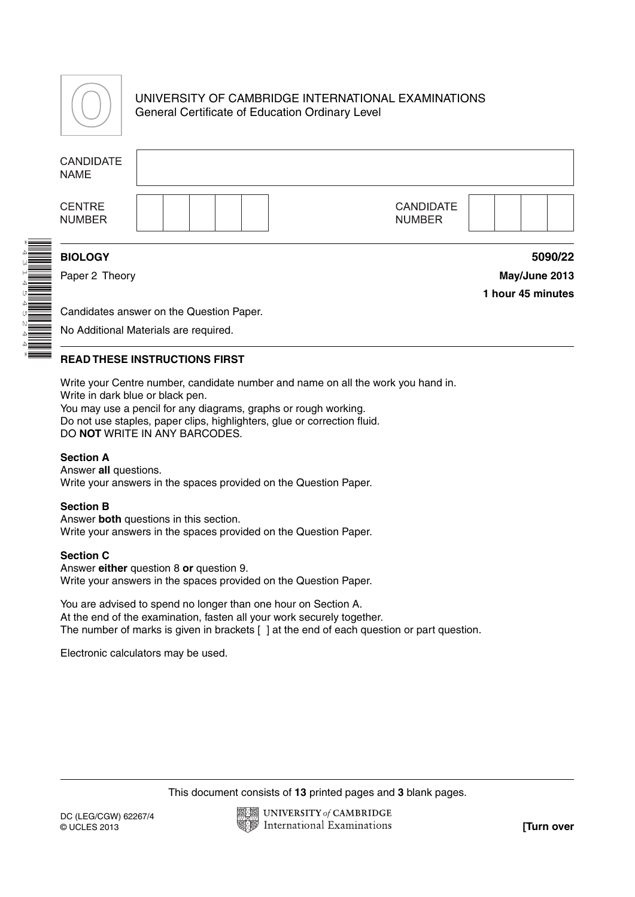

UNIVERSITY OF CAMBRIDGE INTERNATIONAL EXAMINATIONS General Certificate of Education Ordinary Level

| <b>CANDIDATE</b><br><b>NAME</b> |                                          |                   |
|---------------------------------|------------------------------------------|-------------------|
| <b>CENTRE</b><br><b>NUMBER</b>  | <b>CANDIDATE</b><br><b>NUMBER</b>        |                   |
| <b>BIOLOGY</b>                  |                                          | 5090/22           |
| Paper 2 Theory                  |                                          | May/June 2013     |
|                                 |                                          | 1 hour 45 minutes |
|                                 | Candidates answer on the Question Paper. |                   |
|                                 | No Additional Materials are required.    |                   |
|                                 |                                          |                   |

## **READ THESE INSTRUCTIONS FIRST**

Write your Centre number, candidate number and name on all the work you hand in. Write in dark blue or black pen.

You may use a pencil for any diagrams, graphs or rough working. Do not use staples, paper clips, highlighters, glue or correction fluid. DO **NOT** WRITE IN ANY BARCODES.

## **Section A**

Answer **all** questions. Write your answers in the spaces provided on the Question Paper.

#### **Section B**

Answer **both** questions in this section. Write your answers in the spaces provided on the Question Paper.

#### **Section C**

Answer **either** question 8 **or** question 9. Write your answers in the spaces provided on the Question Paper.

You are advised to spend no longer than one hour on Section A. At the end of the examination, fasten all your work securely together. The number of marks is given in brackets [ ] at the end of each question or part question.

Electronic calculators may be used.

This document consists of **13** printed pages and **3** blank pages.

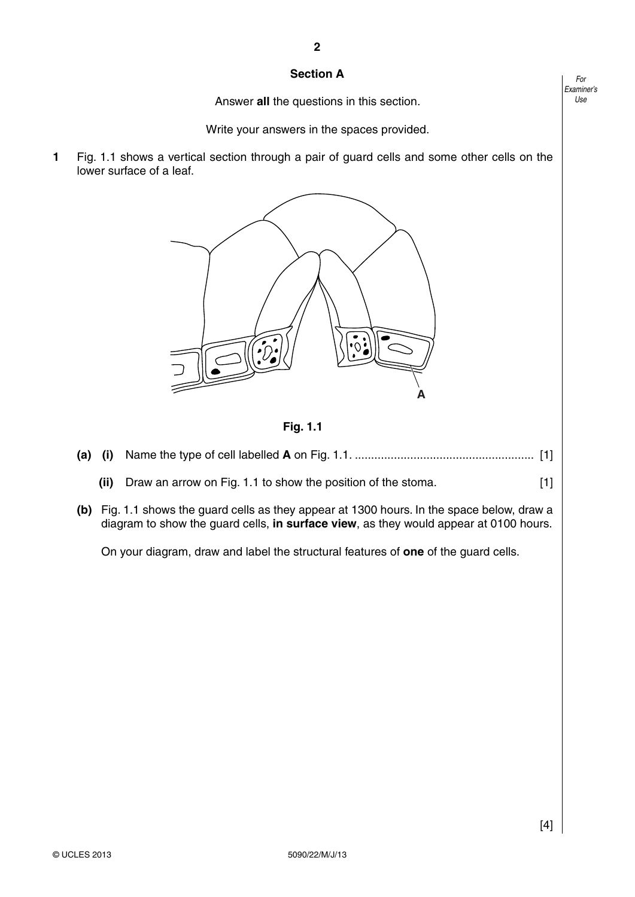## **Section A**

**2**

Answer **all** the questions in this section.

Write your answers in the spaces provided.

**1** Fig. 1.1 shows a vertical section through a pair of guard cells and some other cells on the lower surface of a leaf.





- **(a) (i)** Name the type of cell labelled **A** on Fig. 1.1. ....................................................... [1]
	- **(ii)** Draw an arrow on Fig. 1.1 to show the position of the stoma. [1]
- **(b)** Fig. 1.1 shows the guard cells as they appear at 1300 hours. In the space below, draw a diagram to show the guard cells, **in surface view**, as they would appear at 0100 hours.

On your diagram, draw and label the structural features of **one** of the guard cells.

*For Examiner's Use*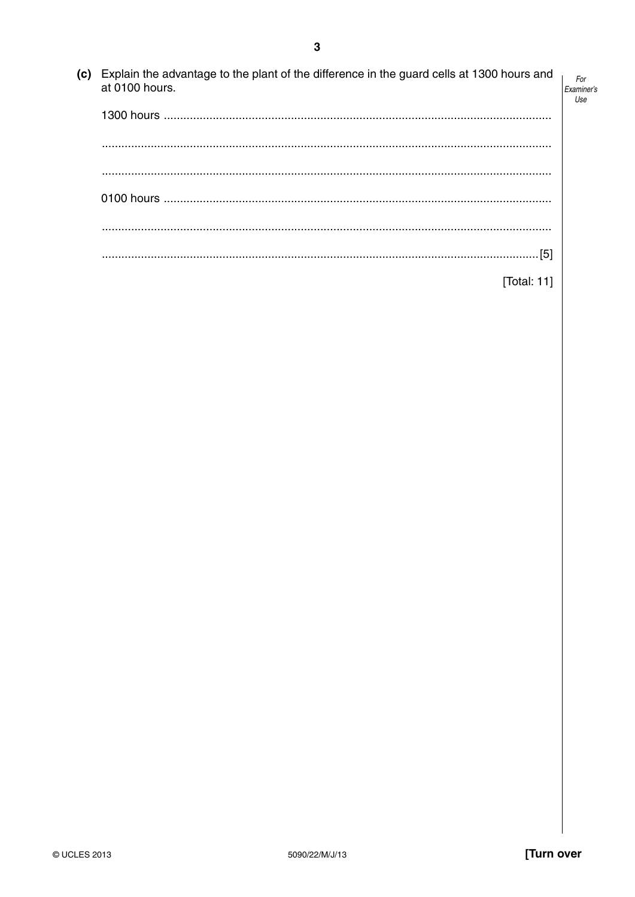(c) Explain the advantage to the plant of the difference in the guard cells at 1300 hours and For at 0100 hours. Examiner's Use [Total: 11]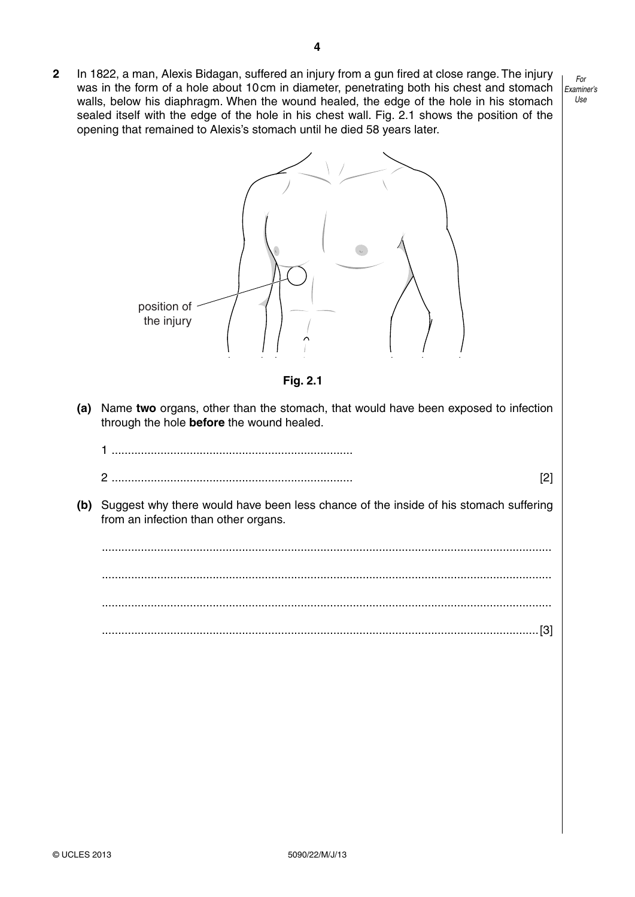**2** In 1822, a man, Alexis Bidagan, suffered an injury from a gun fired at close range. The injury was in the form of a hole about 10 cm in diameter, penetrating both his chest and stomach walls, below his diaphragm. When the wound healed, the edge of the hole in his stomach sealed itself with the edge of the hole in his chest wall. Fig. 2.1 shows the position of the opening that remained to Alexis's stomach until he died 58 years later.

*For Examiner's Use*





 **(a)** Name **two** organs, other than the stomach, that would have been exposed to infection through the hole **before** the wound healed.

1 ..........................................................................

2 .......................................................................... [2]

 **(b)** Suggest why there would have been less chance of the inside of his stomach suffering from an infection than other organs.

 .......................................................................................................................................... .......................................................................................................................................... .......................................................................................................................................... ......................................................................................................................................[3]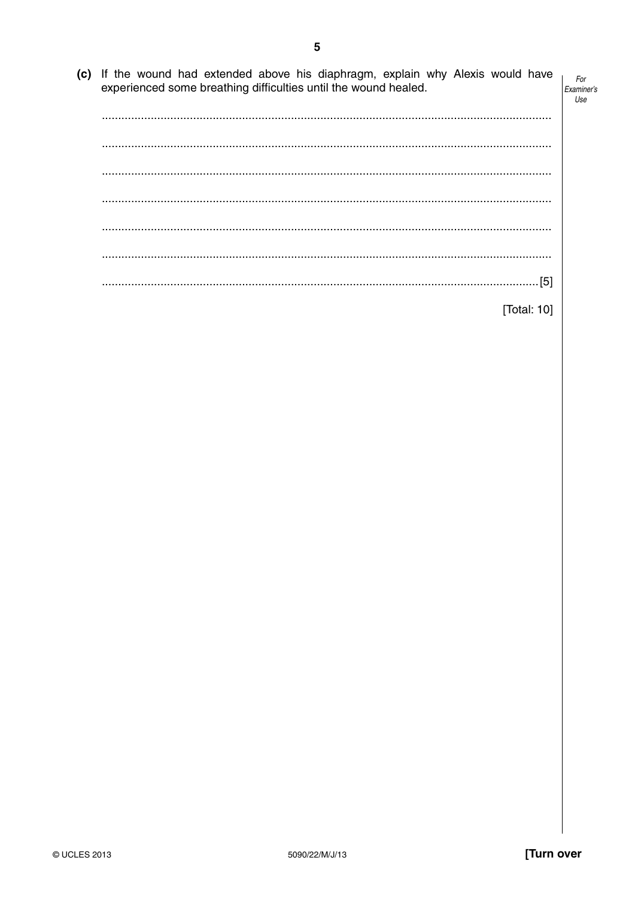(c) If the wound had extended above his diaphragm, explain why Alexis would have experienced some breathing difficulties until the wound healed. Examiner's

[Total: 10] For

Use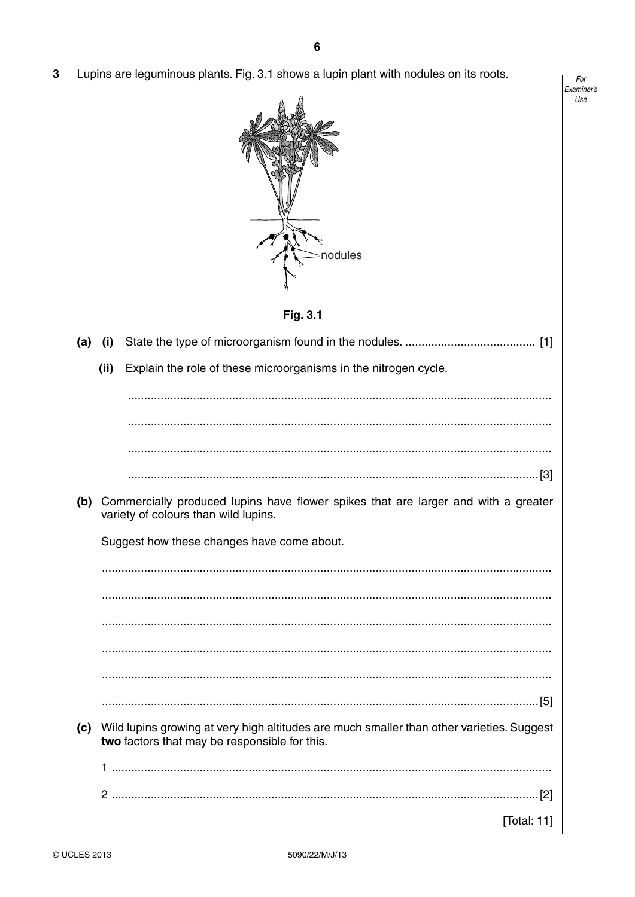$For$ Examiner's Use

3 Lupins are leguminous plants. Fig. 3.1 shows a lupin plant with nodules on its roots.



# Fig. 3.1

 $(a)$   $(i)$  $(ii)$ Explain the role of these microorganisms in the nitrogen cycle. (b) Commercially produced lupins have flower spikes that are larger and with a greater variety of colours than wild lupins. Suggest how these changes have come about. (c) Wild lupins growing at very high altitudes are much smaller than other varieties. Suggest two factors that may be responsible for this. [Total: 11]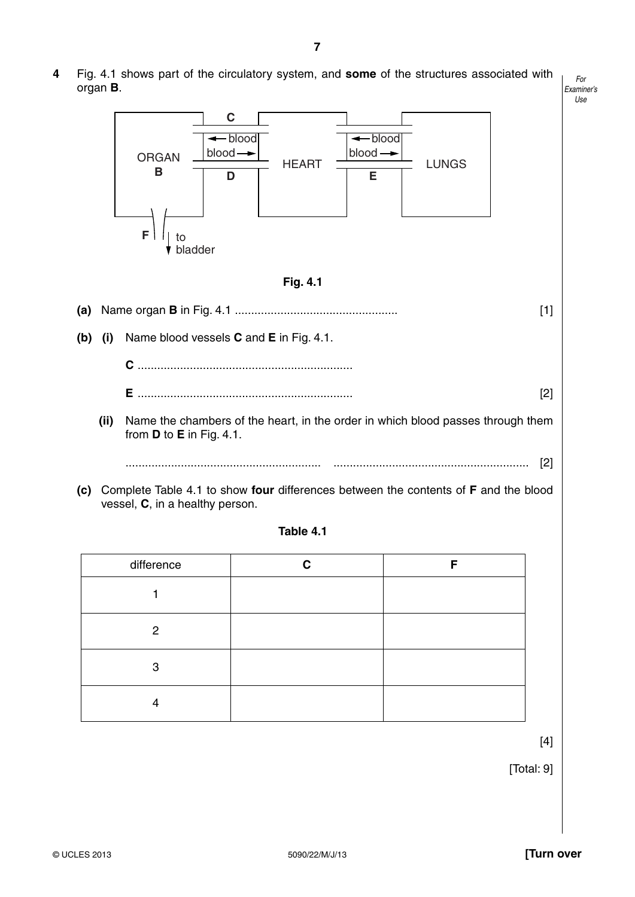**4** Fig. 4.1 shows part of the circulatory system, and **some** of the structures associated with

- organ **B**. **C** blood **d** blood ⋥ bloodblood — ORGAN HEART LUNGS **B D E F** to bladder **Fig. 4.1 (a)** Name organ **B** in Fig. 4.1 .................................................. [1]  **(b) (i)** Name blood vessels **C** and **E** in Fig. 4.1. **C** .................................................................. **E** .................................................................. [2]  **(ii)** Name the chambers of the heart, in the order in which blood passes through them from **D** to **E** in Fig. 4.1. ............................................................ ............................................................ [2]
	- **(c)** Complete Table 4.1 to show **four** differences between the contents of **F** and the blood vessel, **C**, in a healthy person.

# **Table 4.1**

| difference | C | F |
|------------|---|---|
|            |   |   |
| 2          |   |   |
| з          |   |   |
|            |   |   |

[4]

[Total: 9]

*For Examiner's Use*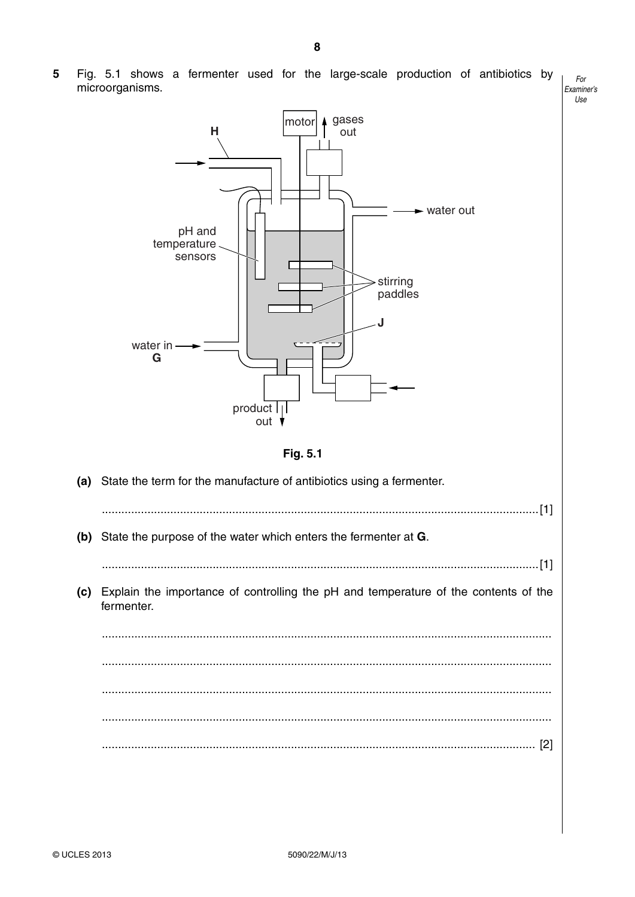5 Fig. 5.1 shows a fermenter used for the large-scale production of antibiotics by microorganisms.

 $For$ Examiner's Use



Fig. 5.1

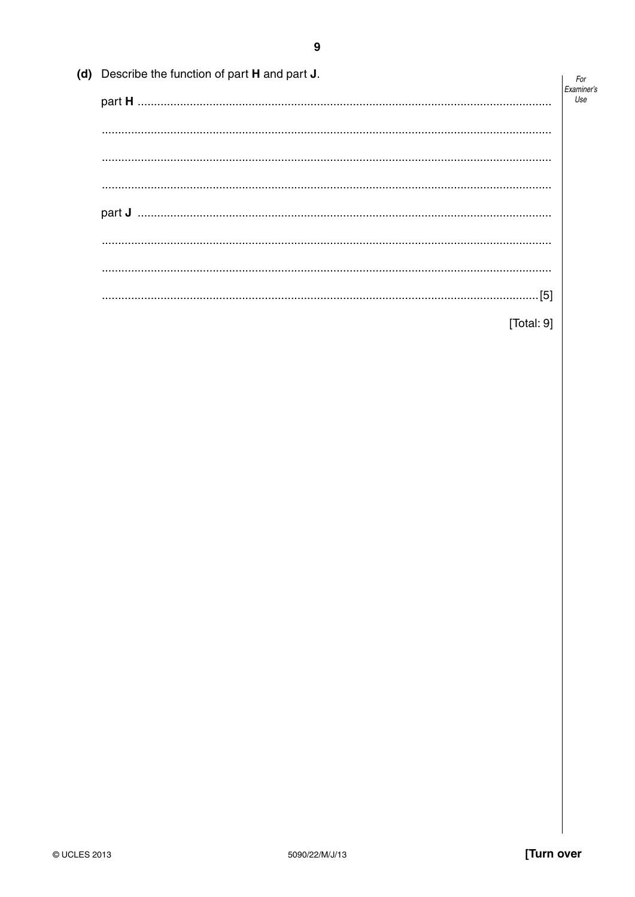| (d) Describe the function of part H and part J. | For                             |
|-------------------------------------------------|---------------------------------|
|                                                 | <i><b>Fxaminer's</b></i><br>Use |
|                                                 |                                 |
|                                                 |                                 |
|                                                 |                                 |
|                                                 |                                 |
|                                                 |                                 |
|                                                 |                                 |
| 15                                              |                                 |

[Total: 9]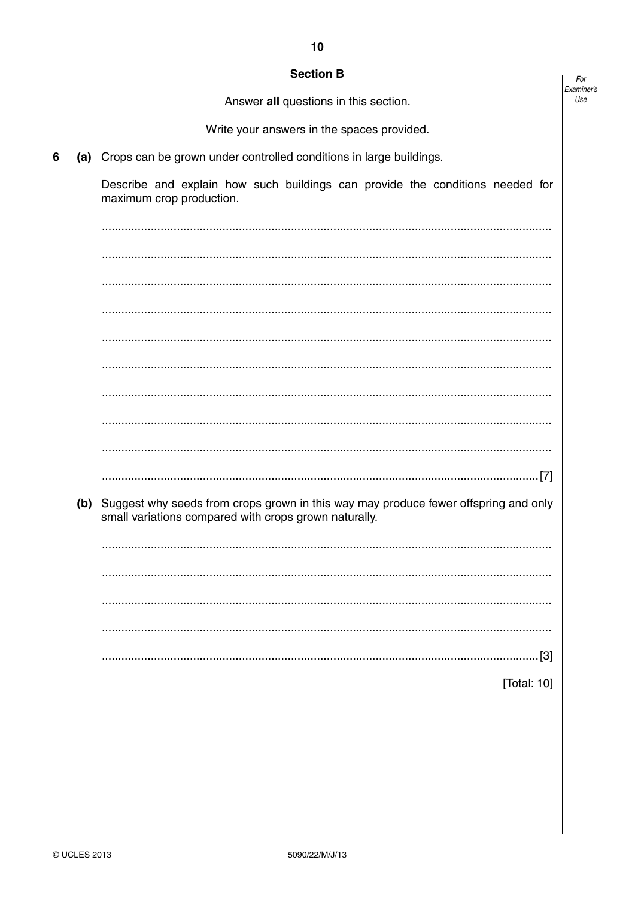#### **Section B**

|  |  |  | Answer all questions in this section. |
|--|--|--|---------------------------------------|
|--|--|--|---------------------------------------|

Write your answers in the spaces provided.

(a) Crops can be grown under controlled conditions in large buildings. 6

> Describe and explain how such buildings can provide the conditions needed for maximum crop production.

(b) Suggest why seeds from crops grown in this way may produce fewer offspring and only small variations compared with crops grown naturally. 

[Total: 10]

 $For$ Examiner's Use

 $10$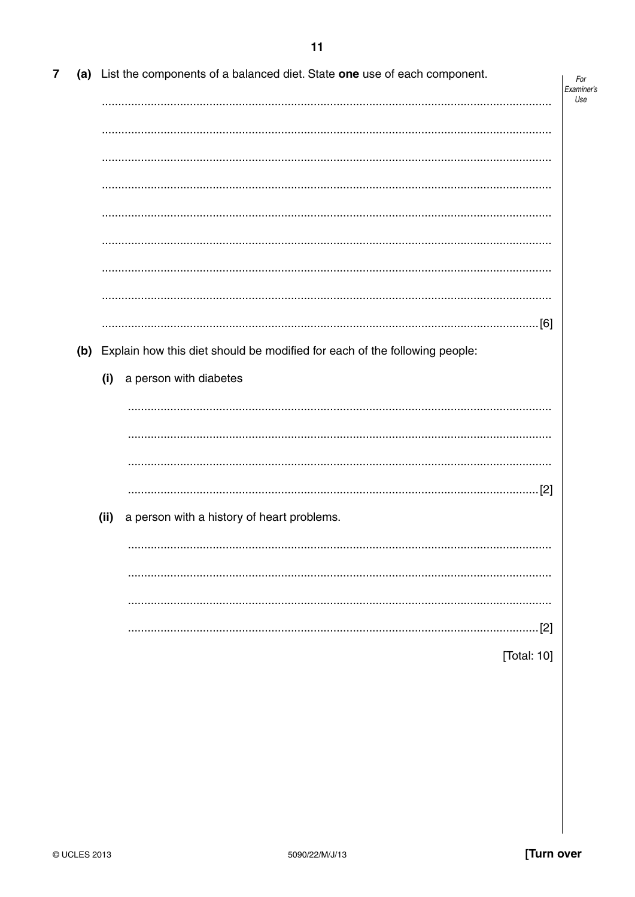|      | (a) List the components of a balanced diet. State one use of each component.   |
|------|--------------------------------------------------------------------------------|
|      |                                                                                |
|      |                                                                                |
|      |                                                                                |
|      |                                                                                |
|      |                                                                                |
|      |                                                                                |
|      |                                                                                |
|      |                                                                                |
|      |                                                                                |
|      |                                                                                |
|      |                                                                                |
|      |                                                                                |
|      |                                                                                |
|      |                                                                                |
|      |                                                                                |
|      |                                                                                |
|      | (b) Explain how this diet should be modified for each of the following people: |
|      |                                                                                |
| (i)  | a person with diabetes                                                         |
|      |                                                                                |
|      |                                                                                |
|      |                                                                                |
|      |                                                                                |
|      |                                                                                |
|      |                                                                                |
| (ii) |                                                                                |
|      | a person with a history of heart problems.                                     |
|      |                                                                                |
|      |                                                                                |
|      |                                                                                |
|      |                                                                                |
|      |                                                                                |
|      | $\dots$ [2]                                                                    |

 $\overline{7}$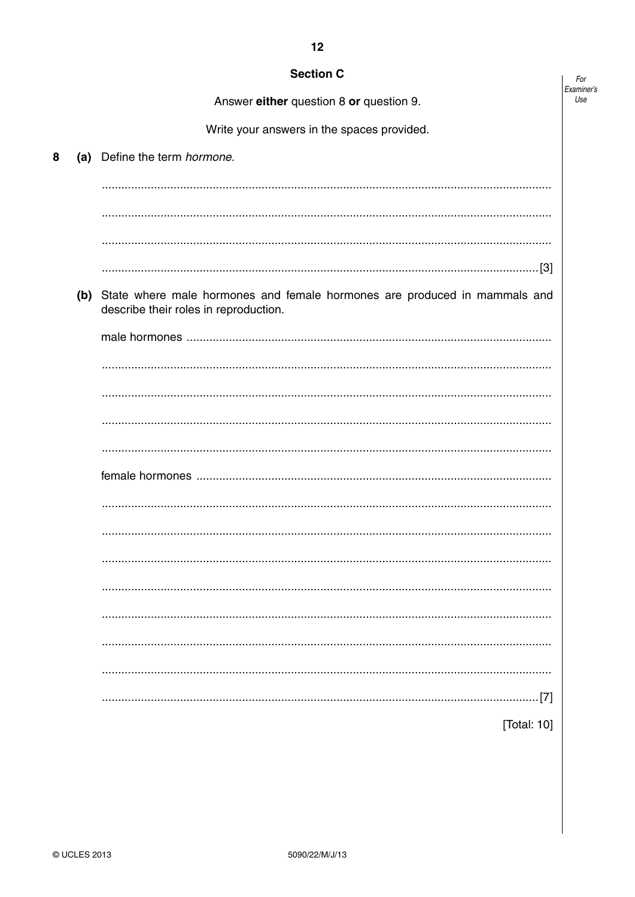|   | <b>Section C</b>                                                                                                       | For               |
|---|------------------------------------------------------------------------------------------------------------------------|-------------------|
|   | Answer either question 8 or question 9.                                                                                | Examiner's<br>Use |
|   | Write your answers in the spaces provided.                                                                             |                   |
| 8 | (a) Define the term hormone.                                                                                           |                   |
|   |                                                                                                                        |                   |
|   |                                                                                                                        |                   |
|   |                                                                                                                        |                   |
|   | (b) State where male hormones and female hormones are produced in mammals and<br>describe their roles in reproduction. |                   |
|   |                                                                                                                        |                   |
|   |                                                                                                                        |                   |
|   |                                                                                                                        |                   |
|   |                                                                                                                        |                   |
|   |                                                                                                                        |                   |
|   |                                                                                                                        |                   |
|   |                                                                                                                        |                   |
|   |                                                                                                                        |                   |
|   |                                                                                                                        |                   |
|   |                                                                                                                        |                   |
|   |                                                                                                                        |                   |
|   |                                                                                                                        |                   |
|   | [7]                                                                                                                    |                   |
|   | [Total: 10]                                                                                                            |                   |
|   |                                                                                                                        |                   |

 $12$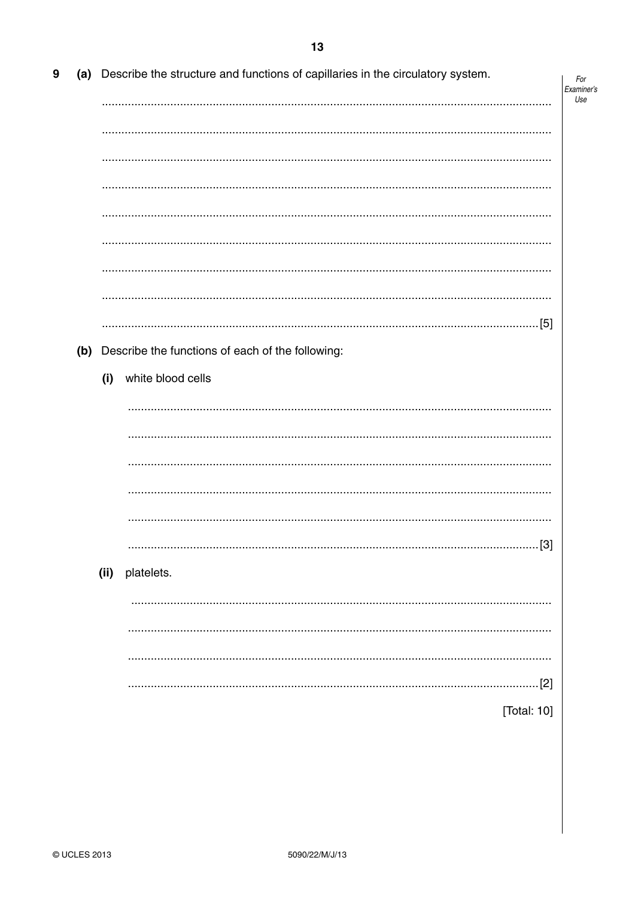|      | (a) Describe the structure and functions of capillaries in the circulatory system. |
|------|------------------------------------------------------------------------------------|
|      |                                                                                    |
|      |                                                                                    |
|      |                                                                                    |
|      |                                                                                    |
|      |                                                                                    |
|      |                                                                                    |
|      |                                                                                    |
|      |                                                                                    |
|      |                                                                                    |
|      |                                                                                    |
|      | (b) Describe the functions of each of the following:                               |
|      | (i) white blood cells                                                              |
|      |                                                                                    |
|      |                                                                                    |
|      |                                                                                    |
|      |                                                                                    |
|      |                                                                                    |
|      |                                                                                    |
|      | $\ldots \ldots \ldots \ldots \ldots \ldots \ldots \ldots \left[ 3\right]$          |
|      | platelets.                                                                         |
|      |                                                                                    |
|      |                                                                                    |
|      |                                                                                    |
| (ii) | [2]                                                                                |

13

9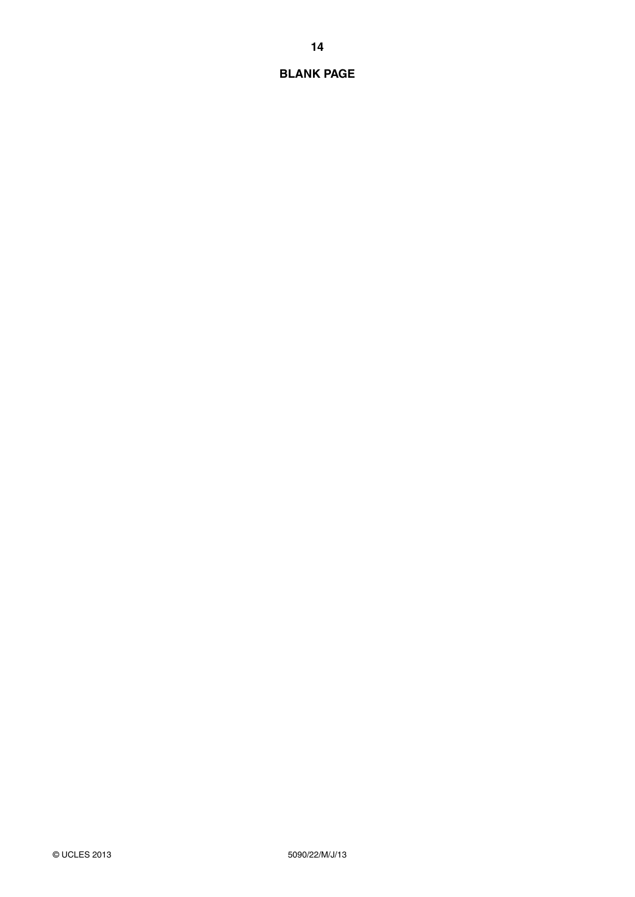# **BLANK PAGE**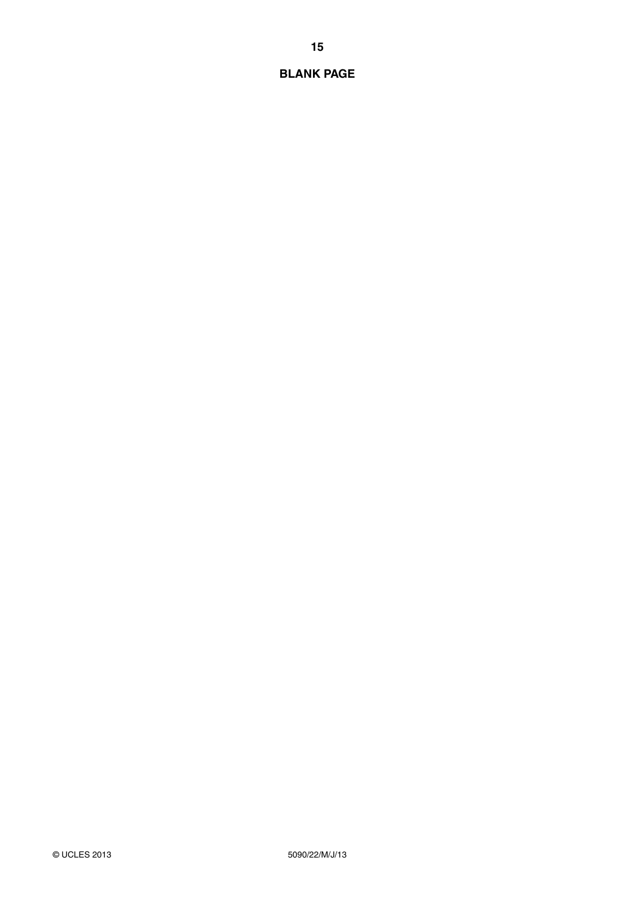# **BLANK PAGE**